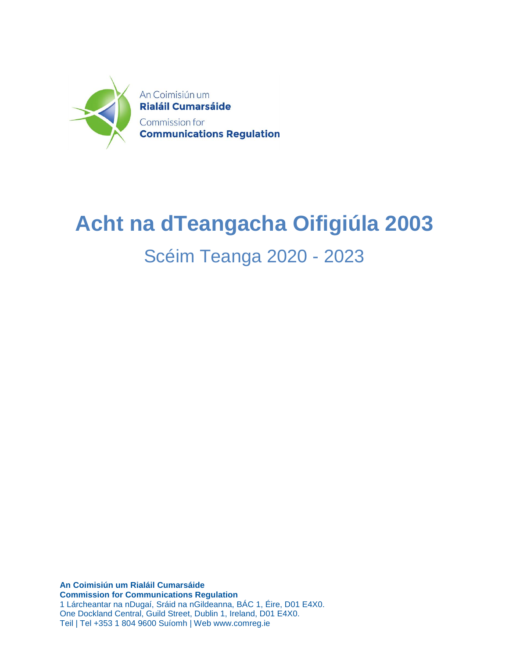

## **Acht na dTeangacha Oifigiúla 2003**

### Scéim Teanga 2020 - 2023

**An Coimisiún um Rialáil Cumarsáide Commission for Communications Regulation** 1 Lárcheantar na nDugaí, Sráid na nGildeanna, BÁC 1, Éire, D01 E4X0. One Dockland Central, Guild Street, Dublin 1, Ireland, D01 E4X0. Teil | Tel +353 1 804 9600 Suíomh | Web www.comreg.ie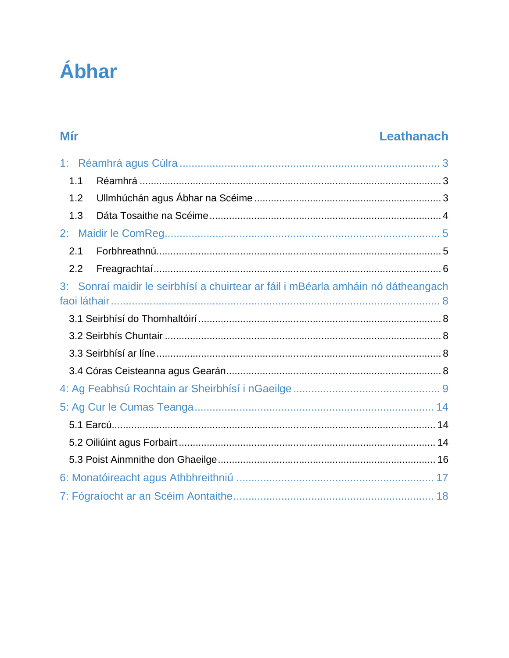# Ábhar

### Mír

### Leathanach

| 1.1 |                                                                                |
|-----|--------------------------------------------------------------------------------|
| 1.2 |                                                                                |
| 1.3 |                                                                                |
|     |                                                                                |
| 2.1 |                                                                                |
| 2.2 |                                                                                |
| 3:  | Sonraí maidir le seirbhísí a chuirtear ar fáil i mBéarla amháin nó dátheangach |
|     |                                                                                |
|     |                                                                                |
|     |                                                                                |
|     |                                                                                |
|     |                                                                                |
|     |                                                                                |
|     |                                                                                |
|     |                                                                                |
|     |                                                                                |
|     |                                                                                |
|     |                                                                                |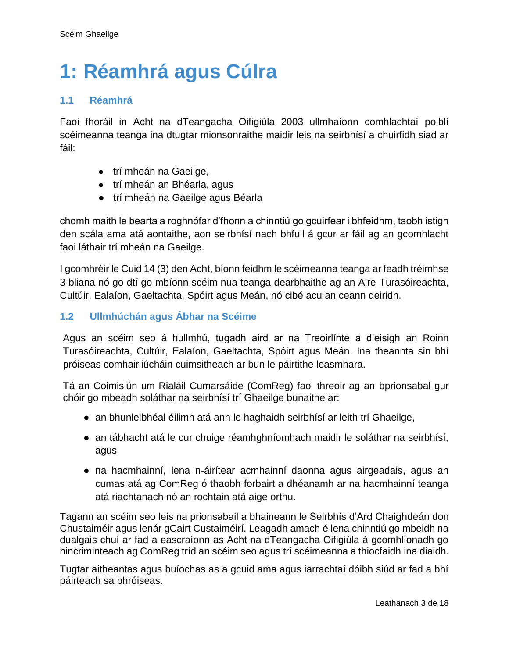## <span id="page-2-0"></span>**1: Réamhrá agus Cúlra**

#### <span id="page-2-1"></span>**1.1 Réamhrá**

Faoi fhoráil in Acht na dTeangacha Oifigiúla 2003 ullmhaíonn comhlachtaí poiblí scéimeanna teanga ina dtugtar mionsonraithe maidir leis na seirbhísí a chuirfidh siad ar fáil:

- trí mheán na Gaeilge,
- trí mheán an Bhéarla, agus
- trí mheán na Gaeilge agus Béarla

chomh maith le bearta a roghnófar d'fhonn a chinntiú go gcuirfear i bhfeidhm, taobh istigh den scála ama atá aontaithe, aon seirbhísí nach bhfuil á gcur ar fáil ag an gcomhlacht faoi láthair trí mheán na Gaeilge.

I gcomhréir le Cuid 14 (3) den Acht, bíonn feidhm le scéimeanna teanga ar feadh tréimhse 3 bliana nó go dtí go mbíonn scéim nua teanga dearbhaithe ag an Aire Turasóireachta, Cultúir, Ealaíon, Gaeltachta, Spóirt agus Meán, nó cibé acu an ceann deiridh.

#### <span id="page-2-2"></span>**1.2 Ullmhúchán agus Ábhar na Scéime**

Agus an scéim seo á hullmhú, tugadh aird ar na Treoirlínte a d'eisigh an Roinn Turasóireachta, Cultúir, Ealaíon, Gaeltachta, Spóirt agus Meán. Ina theannta sin bhí próiseas comhairliúcháin cuimsitheach ar bun le páirtithe leasmhara.

Tá an Coimisiún um Rialáil Cumarsáide (ComReg) faoi threoir ag an bprionsabal gur chóir go mbeadh soláthar na seirbhísí trí Ghaeilge bunaithe ar:

- an bhunleibhéal éilimh atá ann le haghaidh seirbhísí ar leith trí Ghaeilge,
- an tábhacht atá le cur chuige réamhghníomhach maidir le soláthar na seirbhísí, agus
- na hacmhainní, lena n-áirítear acmhainní daonna agus airgeadais, agus an cumas atá ag ComReg ó thaobh forbairt a dhéanamh ar na hacmhainní teanga atá riachtanach nó an rochtain atá aige orthu.

Tagann an scéim seo leis na prionsabail a bhaineann le Seirbhís d'Ard Chaighdeán don Chustaiméir agus lenár gCairt Custaiméirí. Leagadh amach é lena chinntiú go mbeidh na dualgais chuí ar fad a eascraíonn as Acht na dTeangacha Oifigiúla á gcomhlíonadh go hincriminteach ag ComReg tríd an scéim seo agus trí scéimeanna a thiocfaidh ina diaidh.

Tugtar aitheantas agus buíochas as a gcuid ama agus iarrachtaí dóibh siúd ar fad a bhí páirteach sa phróiseas.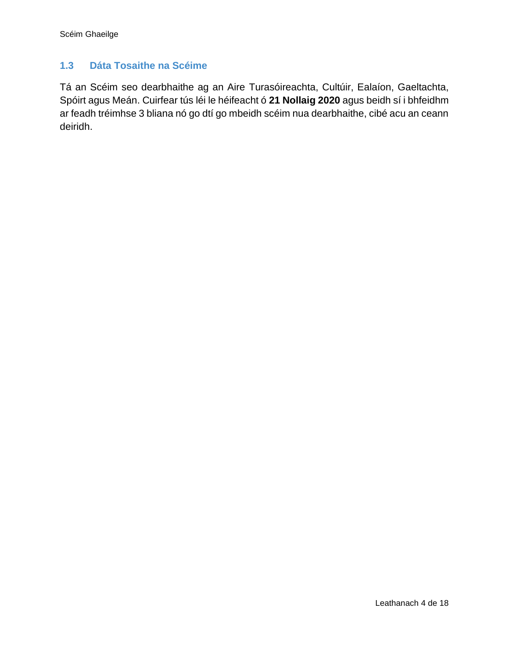#### <span id="page-3-0"></span>**1.3 Dáta Tosaithe na Scéime**

Tá an Scéim seo dearbhaithe ag an Aire Turasóireachta, Cultúir, Ealaíon, Gaeltachta, Spóirt agus Meán. Cuirfear tús léi le héifeacht ó **21 Nollaig 2020** agus beidh sí i bhfeidhm ar feadh tréimhse 3 bliana nó go dtí go mbeidh scéim nua dearbhaithe, cibé acu an ceann deiridh.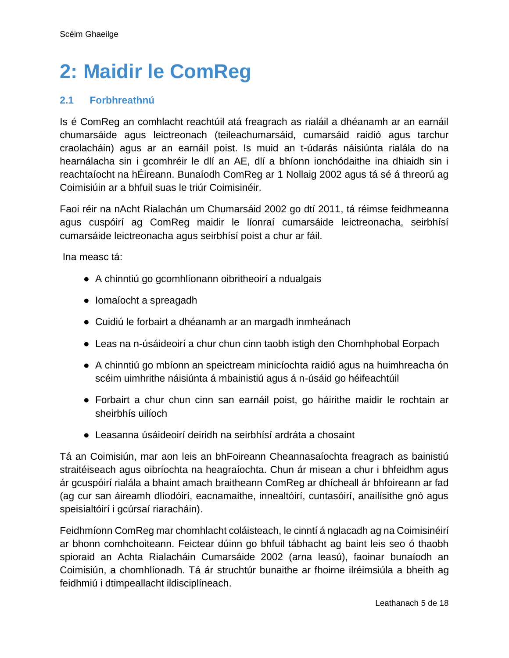## <span id="page-4-0"></span>**2: Maidir le ComReg**

#### <span id="page-4-1"></span>**2.1 Forbhreathnú**

Is é ComReg an comhlacht reachtúil atá freagrach as rialáil a dhéanamh ar an earnáil chumarsáide agus leictreonach (teileachumarsáid, cumarsáid raidió agus tarchur craolacháin) agus ar an earnáil poist. Is muid an t-údarás náisiúnta rialála do na hearnálacha sin i gcomhréir le dlí an AE, dlí a bhíonn ionchódaithe ina dhiaidh sin i reachtaíocht na hÉireann. Bunaíodh ComReg ar 1 Nollaig 2002 agus tá sé á threorú ag Coimisiúin ar a bhfuil suas le triúr Coimisinéir.

Faoi réir na nAcht Rialachán um Chumarsáid 2002 go dtí 2011, tá réimse feidhmeanna agus cuspóirí ag ComReg maidir le líonraí cumarsáide leictreonacha, seirbhísí cumarsáide leictreonacha agus seirbhísí poist a chur ar fáil.

Ina measc tá:

- A chinntiú go gcomhlíonann oibritheoirí a ndualgais
- Iomaíocht a spreagadh
- Cuidiú le forbairt a dhéanamh ar an margadh inmheánach
- Leas na n-úsáideoirí a chur chun cinn taobh istigh den Chomhphobal Eorpach
- A chinntiú go mbíonn an speictream minicíochta raidió agus na huimhreacha ón scéim uimhrithe náisiúnta á mbainistiú agus á n-úsáid go héifeachtúil
- Forbairt a chur chun cinn san earnáil poist, go háirithe maidir le rochtain ar sheirbhís uilíoch
- Leasanna úsáideoirí deiridh na seirbhísí ardráta a chosaint

Tá an Coimisiún, mar aon leis an bhFoireann Cheannasaíochta freagrach as bainistiú straitéiseach agus oibríochta na heagraíochta. Chun ár misean a chur i bhfeidhm agus ár gcuspóirí rialála a bhaint amach braitheann ComReg ar dhícheall ár bhfoireann ar fad (ag cur san áireamh dlíodóirí, eacnamaithe, innealtóirí, cuntasóirí, anailísithe gnó agus speisialtóirí i gcúrsaí riaracháin).

Feidhmíonn ComReg mar chomhlacht coláisteach, le cinntí á nglacadh ag na Coimisinéirí ar bhonn comhchoiteann. Feictear dúinn go bhfuil tábhacht ag baint leis seo ó thaobh spioraid an Achta Rialacháin Cumarsáide 2002 (arna leasú), faoinar bunaíodh an Coimisiún, a chomhlíonadh. Tá ár struchtúr bunaithe ar fhoirne ilréimsiúla a bheith ag feidhmiú i dtimpeallacht ildisciplíneach.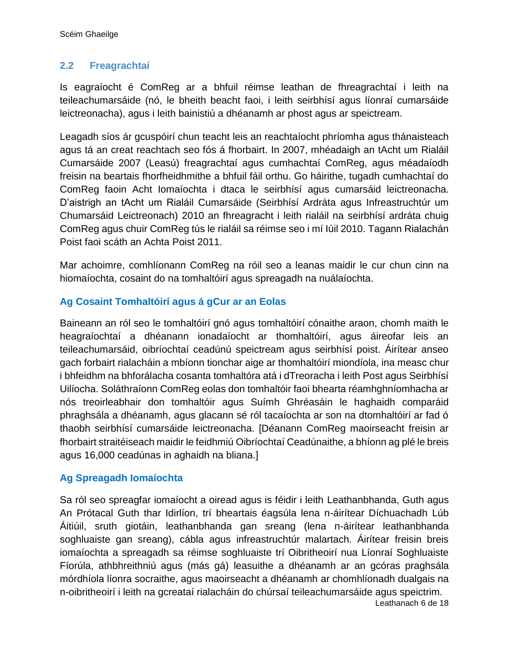#### <span id="page-5-0"></span>**2.2 Freagrachtaí**

Is eagraíocht é ComReg ar a bhfuil réimse leathan de fhreagrachtaí i leith na teileachumarsáide (nó, le bheith beacht faoi, i leith seirbhísí agus líonraí cumarsáide leictreonacha), agus i leith bainistiú a dhéanamh ar phost agus ar speictream.

Leagadh síos ár gcuspóirí chun teacht leis an reachtaíocht phríomha agus thánaisteach agus tá an creat reachtach seo fós á fhorbairt. In 2007, mhéadaigh an tAcht um Rialáil Cumarsáide 2007 (Leasú) freagrachtaí agus cumhachtaí ComReg, agus méadaíodh freisin na beartais fhorfheidhmithe a bhfuil fáil orthu. Go háirithe, tugadh cumhachtaí do ComReg faoin Acht Iomaíochta i dtaca le seirbhísí agus cumarsáid leictreonacha. D'aistrigh an tAcht um Rialáil Cumarsáide (Seirbhísí Ardráta agus Infreastruchtúr um Chumarsáid Leictreonach) 2010 an fhreagracht i leith rialáil na seirbhísí ardráta chuig ComReg agus chuir ComReg tús le rialáil sa réimse seo i mí Iúil 2010. Tagann Rialachán Poist faoi scáth an Achta Poist 2011.

Mar achoimre, comhlíonann ComReg na róil seo a leanas maidir le cur chun cinn na hiomaíochta, cosaint do na tomhaltóirí agus spreagadh na nuálaíochta.

#### **Ag Cosaint Tomhaltóirí agus á gCur ar an Eolas**

Baineann an ról seo le tomhaltóirí gnó agus tomhaltóirí cónaithe araon, chomh maith le heagraíochtaí a dhéanann ionadaíocht ar thomhaltóirí, agus áireofar leis an teileachumarsáid, oibríochtaí ceadúnú speictream agus seirbhísí poist. Áirítear anseo gach forbairt rialacháin a mbíonn tionchar aige ar thomhaltóirí miondíola, ina measc chur i bhfeidhm na bhforálacha cosanta tomhaltóra atá i dTreoracha i leith Post agus Seirbhísí Uilíocha. Soláthraíonn ComReg eolas don tomhaltóir faoi bhearta réamhghníomhacha ar nós treoirleabhair don tomhaltóir agus Suímh Ghréasáin le haghaidh comparáid phraghsála a dhéanamh, agus glacann sé ról tacaíochta ar son na dtomhaltóirí ar fad ó thaobh seirbhísí cumarsáide leictreonacha. [Déanann ComReg maoirseacht freisin ar fhorbairt straitéiseach maidir le feidhmiú Oibríochtaí Ceadúnaithe, a bhíonn ag plé le breis agus 16,000 ceadúnas in aghaidh na bliana.]

#### **Ag Spreagadh Iomaíochta**

Sa ról seo spreagfar iomaíocht a oiread agus is féidir i leith Leathanbhanda, Guth agus An Prótacal Guth thar Idirlíon, trí bheartais éagsúla lena n-áirítear Díchuachadh Lúb Áitiúil, sruth giotáin, leathanbhanda gan sreang (lena n-áirítear leathanbhanda soghluaiste gan sreang), cábla agus infreastruchtúr malartach. Áirítear freisin breis iomaíochta a spreagadh sa réimse soghluaiste trí Oibritheoirí nua Líonraí Soghluaiste Fíorúla, athbhreithniú agus (más gá) leasuithe a dhéanamh ar an gcóras praghsála mórdhíola líonra socraithe, agus maoirseacht a dhéanamh ar chomhlíonadh dualgais na n-oibritheoirí i leith na gcreataí rialacháin do chúrsaí teileachumarsáide agus speictrim.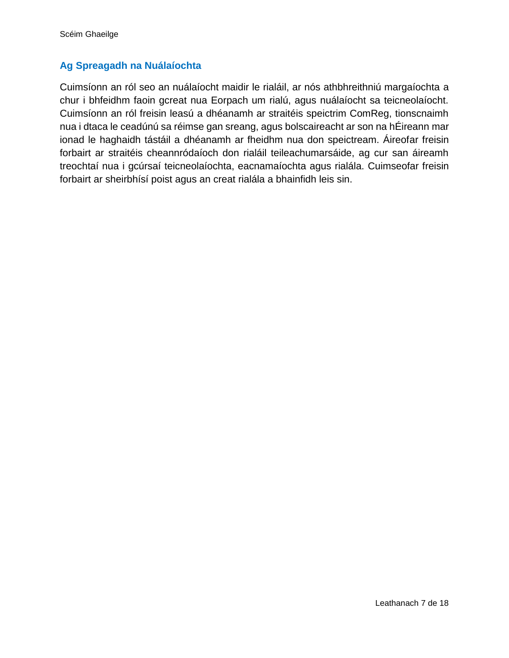#### **Ag Spreagadh na Nuálaíochta**

Cuimsíonn an ról seo an nuálaíocht maidir le rialáil, ar nós athbhreithniú margaíochta a chur i bhfeidhm faoin gcreat nua Eorpach um rialú, agus nuálaíocht sa teicneolaíocht. Cuimsíonn an ról freisin leasú a dhéanamh ar straitéis speictrim ComReg, tionscnaimh nua i dtaca le ceadúnú sa réimse gan sreang, agus bolscaireacht ar son na hÉireann mar ionad le haghaidh tástáil a dhéanamh ar fheidhm nua don speictream. Áireofar freisin forbairt ar straitéis cheannródaíoch don rialáil teileachumarsáide, ag cur san áireamh treochtaí nua i gcúrsaí teicneolaíochta, eacnamaíochta agus rialála. Cuimseofar freisin forbairt ar sheirbhísí poist agus an creat rialála a bhainfidh leis sin.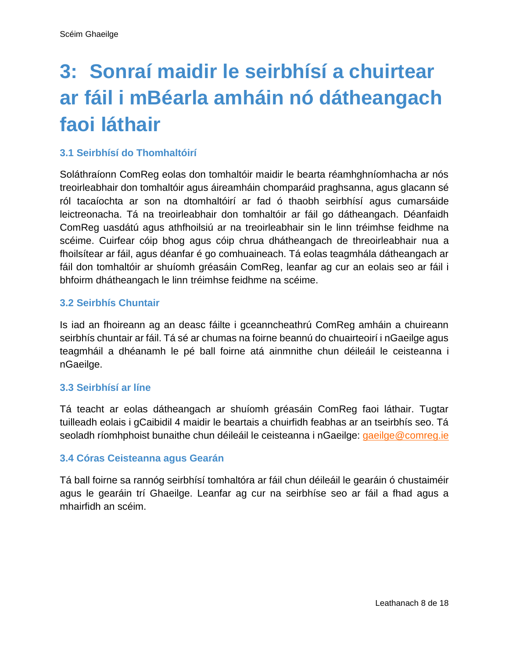## <span id="page-7-0"></span>**3: Sonraí maidir le seirbhísí a chuirtear ar fáil i mBéarla amháin nó dátheangach faoi láthair**

#### <span id="page-7-1"></span>**3.1 Seirbhísí do Thomhaltóirí**

Soláthraíonn ComReg eolas don tomhaltóir maidir le bearta réamhghníomhacha ar nós treoirleabhair don tomhaltóir agus áireamháin chomparáid praghsanna, agus glacann sé ról tacaíochta ar son na dtomhaltóirí ar fad ó thaobh seirbhísí agus cumarsáide leictreonacha. Tá na treoirleabhair don tomhaltóir ar fáil go dátheangach. Déanfaidh ComReg uasdátú agus athfhoilsiú ar na treoirleabhair sin le linn tréimhse feidhme na scéime. Cuirfear cóip bhog agus cóip chrua dhátheangach de threoirleabhair nua a fhoilsítear ar fáil, agus déanfar é go comhuaineach. Tá eolas teagmhála dátheangach ar fáil don tomhaltóir ar shuíomh gréasáin ComReg, leanfar ag cur an eolais seo ar fáil i bhfoirm dhátheangach le linn tréimhse feidhme na scéime.

#### <span id="page-7-2"></span>**3.2 Seirbhís Chuntair**

Is iad an fhoireann ag an deasc fáilte i gceanncheathrú ComReg amháin a chuireann seirbhís chuntair ar fáil. Tá sé ar chumas na foirne beannú do chuairteoirí i nGaeilge agus teagmháil a dhéanamh le pé ball foirne atá ainmnithe chun déileáil le ceisteanna i nGaeilge.

#### <span id="page-7-3"></span>**3.3 Seirbhísí ar líne**

Tá teacht ar eolas dátheangach ar shuíomh gréasáin ComReg faoi láthair. Tugtar tuilleadh eolais i gCaibidil 4 maidir le beartais a chuirfidh feabhas ar an tseirbhís seo. Tá seoladh ríomhphoist bunaithe chun déileáil le ceisteanna i nGaeilge: [gaeilge@comreg.ie](mailto:gaeilge@comreg.ie)

#### <span id="page-7-4"></span>**3.4 Córas Ceisteanna agus Gearán**

Tá ball foirne sa rannóg seirbhísí tomhaltóra ar fáil chun déileáil le gearáin ó chustaiméir agus le gearáin trí Ghaeilge. Leanfar ag cur na seirbhíse seo ar fáil a fhad agus a mhairfidh an scéim.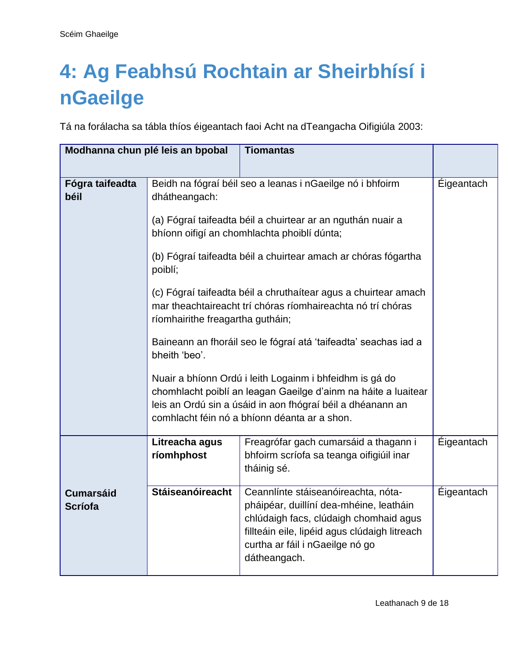## <span id="page-8-0"></span>**4: Ag Feabhsú Rochtain ar Sheirbhísí i nGaeilge**

Tá na forálacha sa tábla thíos éigeantach faoi Acht na dTeangacha Oifigiúla 2003:

|                                    | Modhanna chun plé leis an bpobal                                                                                                                                                                                                        | <b>Tiomantas</b>                                                                                                                                                                                                             |            |
|------------------------------------|-----------------------------------------------------------------------------------------------------------------------------------------------------------------------------------------------------------------------------------------|------------------------------------------------------------------------------------------------------------------------------------------------------------------------------------------------------------------------------|------------|
|                                    |                                                                                                                                                                                                                                         |                                                                                                                                                                                                                              |            |
| Fógra taifeadta<br>béil            | Beidh na fógraí béil seo a leanas i nGaeilge nó i bhfoirm<br>dhátheangach:                                                                                                                                                              | Éigeantach                                                                                                                                                                                                                   |            |
|                                    | (a) Fógraí taifeadta béil a chuirtear ar an nguthán nuair a<br>bhíonn oifigí an chomhlachta phoiblí dúnta;                                                                                                                              |                                                                                                                                                                                                                              |            |
|                                    | (b) Fógraí taifeadta béil a chuirtear amach ar chóras fógartha<br>poiblí;                                                                                                                                                               |                                                                                                                                                                                                                              |            |
|                                    | (c) Fógraí taifeadta béil a chruthaítear agus a chuirtear amach<br>mar theachtaireacht trí chóras ríomhaireachta nó trí chóras<br>ríomhairithe freagartha gutháin;                                                                      |                                                                                                                                                                                                                              |            |
|                                    | Baineann an fhoráil seo le fógraí atá 'taifeadta' seachas iad a<br>bheith 'beo'.                                                                                                                                                        |                                                                                                                                                                                                                              |            |
|                                    | Nuair a bhíonn Ordú i leith Logainm i bhfeidhm is gá do<br>chomhlacht poiblí an leagan Gaeilge d'ainm na háite a luaitear<br>leis an Ordú sin a úsáid in aon fhógraí béil a dhéanann an<br>comhlacht féin nó a bhíonn déanta ar a shon. |                                                                                                                                                                                                                              |            |
|                                    | Freagrófar gach cumarsáid a thagann i<br>Litreacha agus<br>ríomhphost<br>bhfoirm scríofa sa teanga oifigiúil inar<br>tháinig sé.                                                                                                        |                                                                                                                                                                                                                              | Éigeantach |
| <b>Cumarsáid</b><br><b>Scríofa</b> | Stáiseanóireacht                                                                                                                                                                                                                        | Ceannlínte stáiseanóireachta, nóta-<br>pháipéar, duillíní dea-mhéine, leatháin<br>chlúdaigh facs, clúdaigh chomhaid agus<br>fillteáin eile, lipéid agus clúdaigh litreach<br>curtha ar fáil i nGaeilge nó go<br>dátheangach. | Eigeantach |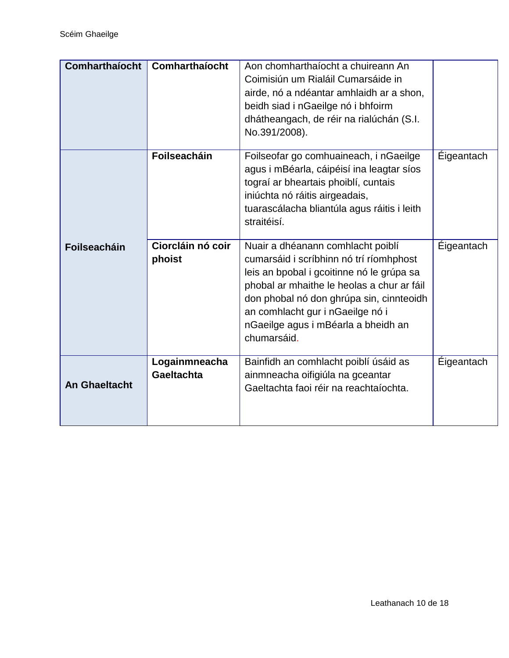| Comharthaíocht       | Comharthaíocht                     | Aon chomharthaíocht a chuireann An<br>Coimisiún um Rialáil Cumarsáide in<br>airde, nó a ndéantar amhlaidh ar a shon,<br>beidh siad i nGaeilge nó i bhfoirm<br>dhátheangach, de réir na rialúchán (S.I.<br>No.391/2008).                                                                                       |                   |
|----------------------|------------------------------------|---------------------------------------------------------------------------------------------------------------------------------------------------------------------------------------------------------------------------------------------------------------------------------------------------------------|-------------------|
|                      | <b>Foilseacháin</b>                | Foilseofar go comhuaineach, i nGaeilge<br>agus i mBéarla, cáipéisí ina leagtar síos<br>tograí ar bheartais phoiblí, cuntais<br>iniúchta nó ráitis airgeadais,<br>tuarascálacha bliantúla agus ráitis i leith<br>straitéisí.                                                                                   | Éigeantach        |
| <b>Foilseacháin</b>  | Ciorcláin nó coir<br>phoist        | Nuair a dhéanann comhlacht poiblí<br>cumarsáid i scríbhinn nó trí ríomhphost<br>leis an bpobal i gcoitinne nó le grúpa sa<br>phobal ar mhaithe le heolas a chur ar fáil<br>don phobal nó don ghrúpa sin, cinnteoidh<br>an comhlacht gur i nGaeilge nó i<br>nGaeilge agus i mBéarla a bheidh an<br>chumarsáid. | <b>Éigeantach</b> |
| <b>An Ghaeltacht</b> | Logainmneacha<br><b>Gaeltachta</b> | Bainfidh an comhlacht poiblí úsáid as<br>ainmneacha oifigiúla na gceantar<br>Gaeltachta faoi réir na reachtaíochta.                                                                                                                                                                                           | <b>Éigeantach</b> |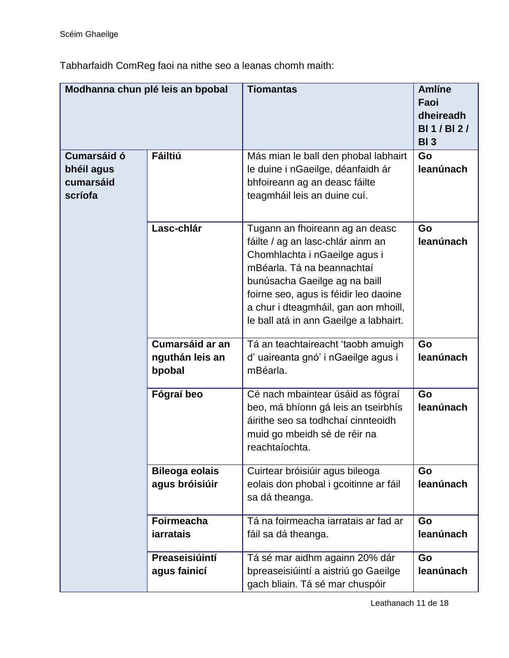Tabharfaidh ComReg faoi na nithe seo a leanas chomh maith:

| Modhanna chun plé leis an bpobal                                           |                                              | <b>Tiomantas</b>                                                                                                                                                                                                                                                                                | <b>Amlíne</b><br>Faoi<br>dheireadh<br><b>BI1/BI2/</b><br>BI <sub>3</sub> |
|----------------------------------------------------------------------------|----------------------------------------------|-------------------------------------------------------------------------------------------------------------------------------------------------------------------------------------------------------------------------------------------------------------------------------------------------|--------------------------------------------------------------------------|
| <b>Fáiltiú</b><br><b>Cumarsáid ó</b><br>bhéil agus<br>cumarsáid<br>scríofa |                                              | Más mian le ball den phobal labhairt<br>le duine i nGaeilge, déanfaidh ár<br>bhfoireann ag an deasc fáilte<br>teagmháil leis an duine cuí.                                                                                                                                                      | Go<br>leanúnach                                                          |
|                                                                            | Lasc-chlár                                   | Tugann an fhoireann ag an deasc<br>fáilte / ag an lasc-chlár ainm an<br>Chomhlachta i nGaeilge agus i<br>mBéarla. Tá na beannachtaí<br>bunúsacha Gaeilge ag na baill<br>foirne seo, agus is féidir leo daoine<br>a chur i dteagmháil, gan aon mhoill,<br>le ball atá in ann Gaeilge a labhairt. | Go<br>leanúnach                                                          |
|                                                                            | Cumarsáid ar an<br>nguthán leis an<br>bpobal | Tá an teachtaireacht 'taobh amuigh<br>d'uaireanta gnó' i nGaeilge agus i<br>mBéarla.                                                                                                                                                                                                            | Go<br>leanúnach                                                          |
|                                                                            | Fógraí beo                                   | Cé nach mbaintear úsáid as fógraí<br>beo, má bhíonn gá leis an tseirbhís<br>áirithe seo sa todhchaí cinnteoidh<br>muid go mbeidh sé de réir na<br>reachtaíochta.                                                                                                                                | Go<br>leanúnach                                                          |
|                                                                            | <b>Bileoga eolais</b><br>agus bróisiúir      | Cuirtear bróisiúir agus bileoga<br>eolais don phobal i gcoitinne ar fáil<br>sa dá theanga.                                                                                                                                                                                                      | Go<br>leanúnach                                                          |
|                                                                            | <b>Foirmeacha</b><br><b>jarratais</b>        | Tá na foirmeacha iarratais ar fad ar<br>fáil sa dá theanga.                                                                                                                                                                                                                                     | Go<br>leanúnach                                                          |
|                                                                            | Preaseisiúintí<br>agus fainicí               | Tá sé mar aidhm againn 20% dár<br>bpreaseisiúintí a aistriú go Gaeilge<br>gach bliain. Tá sé mar chuspóir                                                                                                                                                                                       | Go<br>leanúnach                                                          |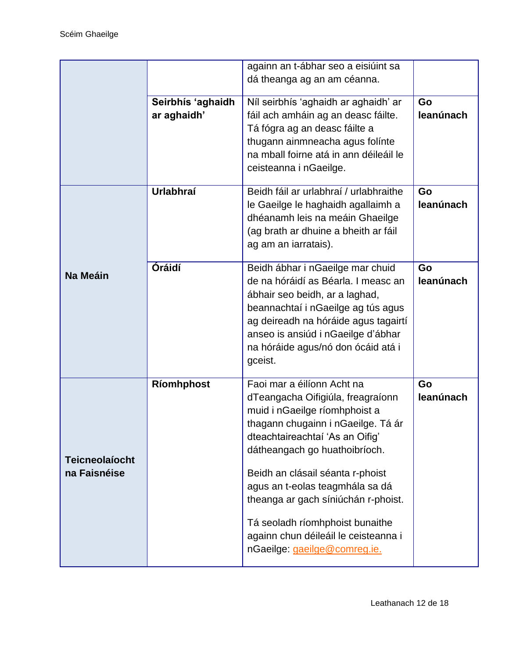| againn an t-ábhar seo a eisiúint sa<br>dá theanga ag an am céanna.<br>Níl seirbhís 'aghaidh ar aghaidh' ar<br>Seirbhís 'aghaidh<br>Go<br>ar aghaidh'<br>leanúnach<br>fáil ach amháin ag an deasc fáilte.<br>Tá fógra ag an deasc fáilte a<br>thugann ainmneacha agus folínte<br>na mball foirne atá in ann déileáil le<br>ceisteanna i nGaeilge.<br><b>Urlabhraí</b><br>Beidh fáil ar urlabhraí / urlabhraithe<br>Go<br>leanúnach<br>le Gaeilge le haghaidh agallaimh a<br>dhéanamh leis na meáin Ghaeilge<br>(ag brath ar dhuine a bheith ar fáil<br>ag am an iarratais).<br>Óráidí<br>Beidh ábhar i nGaeilge mar chuid<br>Go<br>Na Meáin<br>de na hóráidí as Béarla. I measc an<br>leanúnach<br>ábhair seo beidh, ar a laghad,<br>beannachtaí i nGaeilge ag tús agus<br>ag deireadh na hóráide agus tagairtí<br>anseo is ansiúd i nGaeilge d'ábhar<br>na hóráide agus/nó don ócáid atá i<br>gceist.<br>Faoi mar a éilíonn Acht na<br>Ríomhphost<br>Go<br>leanúnach<br>dTeangacha Oifigiúla, freagraíonn<br>muid i nGaeilge ríomhphoist a<br>thagann chugainn i nGaeilge. Tá ár<br>dteachtaireachtaí 'As an Oifig'<br>dátheangach go huathoibríoch.<br><b>Teicneolaíocht</b><br>na Faisnéise<br>Beidh an clásail séanta r-phoist<br>agus an t-eolas teagmhála sa dá<br>theanga ar gach síniúchán r-phoist.<br>Tá seoladh ríomhphoist bunaithe<br>againn chun déileáil le ceisteanna i<br>nGaeilge: gaeilge@comreg.ie. |  |  |  |
|------------------------------------------------------------------------------------------------------------------------------------------------------------------------------------------------------------------------------------------------------------------------------------------------------------------------------------------------------------------------------------------------------------------------------------------------------------------------------------------------------------------------------------------------------------------------------------------------------------------------------------------------------------------------------------------------------------------------------------------------------------------------------------------------------------------------------------------------------------------------------------------------------------------------------------------------------------------------------------------------------------------------------------------------------------------------------------------------------------------------------------------------------------------------------------------------------------------------------------------------------------------------------------------------------------------------------------------------------------------------------------------------------------------------|--|--|--|
|                                                                                                                                                                                                                                                                                                                                                                                                                                                                                                                                                                                                                                                                                                                                                                                                                                                                                                                                                                                                                                                                                                                                                                                                                                                                                                                                                                                                                        |  |  |  |
|                                                                                                                                                                                                                                                                                                                                                                                                                                                                                                                                                                                                                                                                                                                                                                                                                                                                                                                                                                                                                                                                                                                                                                                                                                                                                                                                                                                                                        |  |  |  |
|                                                                                                                                                                                                                                                                                                                                                                                                                                                                                                                                                                                                                                                                                                                                                                                                                                                                                                                                                                                                                                                                                                                                                                                                                                                                                                                                                                                                                        |  |  |  |
|                                                                                                                                                                                                                                                                                                                                                                                                                                                                                                                                                                                                                                                                                                                                                                                                                                                                                                                                                                                                                                                                                                                                                                                                                                                                                                                                                                                                                        |  |  |  |
|                                                                                                                                                                                                                                                                                                                                                                                                                                                                                                                                                                                                                                                                                                                                                                                                                                                                                                                                                                                                                                                                                                                                                                                                                                                                                                                                                                                                                        |  |  |  |
|                                                                                                                                                                                                                                                                                                                                                                                                                                                                                                                                                                                                                                                                                                                                                                                                                                                                                                                                                                                                                                                                                                                                                                                                                                                                                                                                                                                                                        |  |  |  |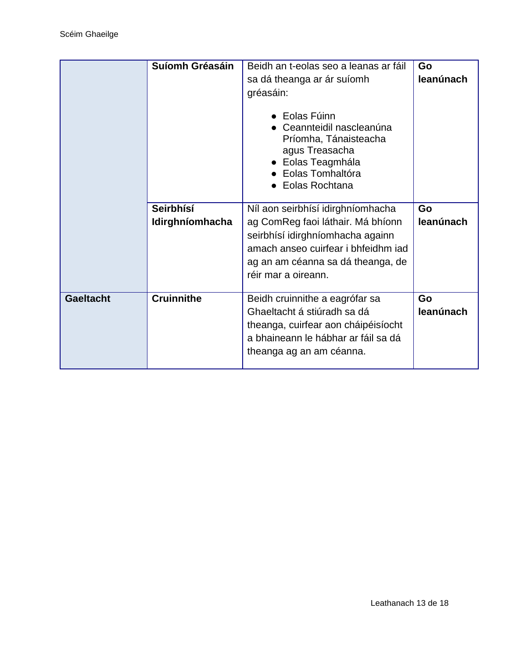|                  | Suíomh Gréasáin   | Beidh an t-eolas seo a leanas ar fáil                                                                                                                  | Go        |
|------------------|-------------------|--------------------------------------------------------------------------------------------------------------------------------------------------------|-----------|
|                  |                   | sa dá theanga ar ár suíomh                                                                                                                             | leanúnach |
|                  |                   | gréasáin:                                                                                                                                              |           |
|                  |                   | $\bullet$ Eolas Fúinn<br>Ceannteidil nascleanúna<br>Príomha, Tánaisteacha<br>agus Treasacha<br>▶ Eolas Teagmhála<br>Eolas Tomhaltóra<br>Eolas Rochtana |           |
|                  | Seirbhísí         | Níl aon seirbhísí idirghníomhacha                                                                                                                      | Go        |
|                  | Idirghníomhacha   | ag ComReg faoi láthair. Má bhíonn                                                                                                                      | leanúnach |
|                  |                   | seirbhísí idirghníomhacha againn                                                                                                                       |           |
|                  |                   | amach anseo cuirfear i bhfeidhm iad                                                                                                                    |           |
|                  |                   | ag an am céanna sa dá theanga, de                                                                                                                      |           |
|                  |                   | réir mar a oireann.                                                                                                                                    |           |
|                  |                   |                                                                                                                                                        |           |
| <b>Gaeltacht</b> | <b>Cruinnithe</b> | Beidh cruinnithe a eagrófar sa                                                                                                                         | Go        |
|                  |                   | Ghaeltacht á stiúradh sa dá                                                                                                                            | leanúnach |
|                  |                   | theanga, cuirfear aon cháipéisíocht                                                                                                                    |           |
|                  |                   | a bhaineann le hábhar ar fáil sa dá                                                                                                                    |           |
|                  |                   | theanga ag an am céanna.                                                                                                                               |           |
|                  |                   |                                                                                                                                                        |           |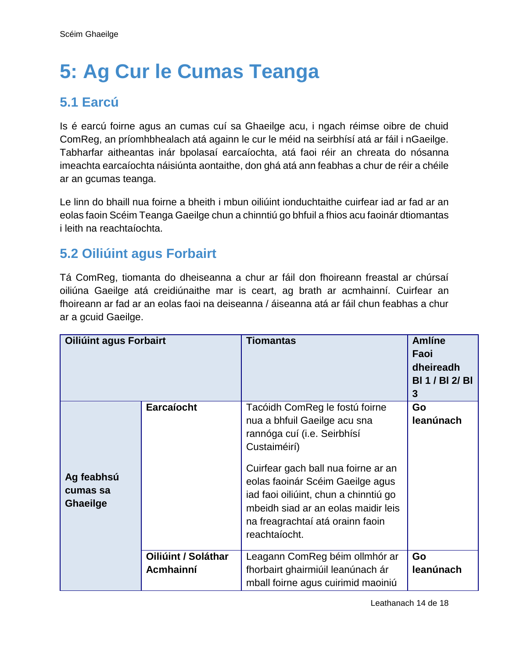## <span id="page-13-0"></span>**5: Ag Cur le Cumas Teanga**

### <span id="page-13-1"></span>**5.1 Earcú**

Is é earcú foirne agus an cumas cuí sa Ghaeilge acu, i ngach réimse oibre de chuid ComReg, an príomhbhealach atá againn le cur le méid na seirbhísí atá ar fáil i nGaeilge. Tabharfar aitheantas inár bpolasaí earcaíochta, atá faoi réir an chreata do nósanna imeachta earcaíochta náisiúnta aontaithe, don ghá atá ann feabhas a chur de réir a chéile ar an gcumas teanga.

Le linn do bhaill nua foirne a bheith i mbun oiliúint ionduchtaithe cuirfear iad ar fad ar an eolas faoin Scéim Teanga Gaeilge chun a chinntiú go bhfuil a fhios acu faoinár dtiomantas i leith na reachtaíochta.

### <span id="page-13-2"></span>**5.2 Oiliúint agus Forbairt**

Tá ComReg, tiomanta do dheiseanna a chur ar fáil don fhoireann freastal ar chúrsaí oiliúna Gaeilge atá creidiúnaithe mar is ceart, ag brath ar acmhainní. Cuirfear an fhoireann ar fad ar an eolas faoi na deiseanna / áiseanna atá ar fáil chun feabhas a chur ar a gcuid Gaeilge.

| <b>Oiliúint agus Forbairt</b>             |                                  | <b>Tiomantas</b>                                                                                                                                                                                                                                                                                                              | <b>Amlíne</b><br>Faoi<br>dheireadh<br><b>BI 1 / BI 2/ BI</b><br>3 |
|-------------------------------------------|----------------------------------|-------------------------------------------------------------------------------------------------------------------------------------------------------------------------------------------------------------------------------------------------------------------------------------------------------------------------------|-------------------------------------------------------------------|
| Ag feabhsú<br>cumas sa<br><b>Ghaeilge</b> | Earcaíocht                       | Tacóidh ComReg le fostú foirne<br>nua a bhfuil Gaeilge acu sna<br>rannóga cuí (i.e. Seirbhísí<br>Custaiméirí)<br>Cuirfear gach ball nua foirne ar an<br>eolas faoinár Scéim Gaeilge agus<br>iad faoi oiliúint, chun a chinntiú go<br>mbeidh siad ar an eolas maidir leis<br>na freagrachtaí atá orainn faoin<br>reachtaíocht. | Go<br>leanúnach                                                   |
|                                           | Oiliúint / Soláthar<br>Acmhainní | Leagann ComReg béim ollmhór ar<br>fhorbairt ghairmiúil leanúnach ár<br>mball foirne agus cuirimid maoiniú                                                                                                                                                                                                                     | Go<br>leanúnach                                                   |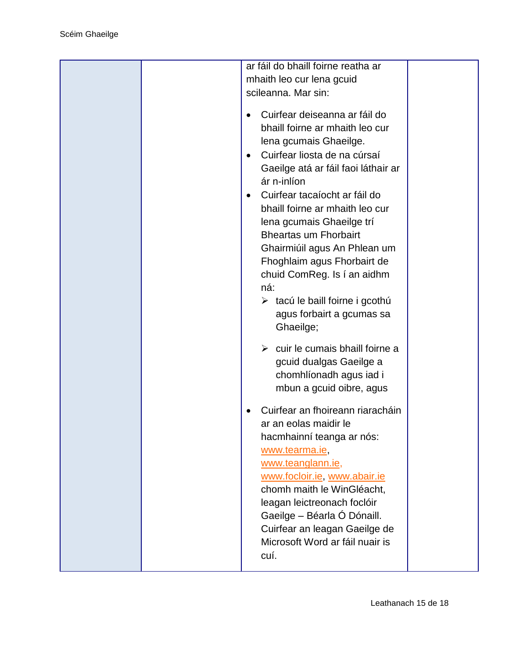|  | ar fáil do bhaill foirne reatha ar                                                                                                                                                                                                                                                                                                                                                                                                                                                                                                                                                                                                                                 |  |
|--|--------------------------------------------------------------------------------------------------------------------------------------------------------------------------------------------------------------------------------------------------------------------------------------------------------------------------------------------------------------------------------------------------------------------------------------------------------------------------------------------------------------------------------------------------------------------------------------------------------------------------------------------------------------------|--|
|  | mhaith leo cur lena gcuid                                                                                                                                                                                                                                                                                                                                                                                                                                                                                                                                                                                                                                          |  |
|  | scileanna. Mar sin:                                                                                                                                                                                                                                                                                                                                                                                                                                                                                                                                                                                                                                                |  |
|  | Cuirfear deiseanna ar fáil do<br>$\bullet$<br>bhaill foirne ar mhaith leo cur<br>lena gcumais Ghaeilge.<br>Cuirfear liosta de na cúrsaí<br>$\bullet$<br>Gaeilge atá ar fáil faoi láthair ar<br>ár n-inlíon<br>Cuirfear tacaíocht ar fáil do<br>$\bullet$<br>bhaill foirne ar mhaith leo cur<br>lena gcumais Ghaeilge trí<br><b>Bheartas um Fhorbairt</b><br>Ghairmiúil agus An Phlean um<br>Fhoghlaim agus Fhorbairt de<br>chuid ComReg. Is í an aidhm<br>ná:<br>$\triangleright$ tacú le baill foirne i gcothú<br>agus forbairt a gcumas sa<br>Ghaeilge;<br>$\triangleright$ cuir le cumais bhaill foirne a<br>gcuid dualgas Gaeilge a<br>chomhlíonadh agus iad i |  |
|  | mbun a gcuid oibre, agus<br>Cuirfear an fhoireann riaracháin<br>ar an eolas maidir le<br>hacmhainní teanga ar nós:<br>www.tearma.ie,<br>www.teanglann.ie,<br>www.focloir.ie, www.abair.ie<br>chomh maith le WinGléacht,<br>leagan leictreonach foclóir<br>Gaeilge - Béarla Ó Dónaill.<br>Cuirfear an leagan Gaeilge de<br>Microsoft Word ar fáil nuair is<br>cuí.                                                                                                                                                                                                                                                                                                  |  |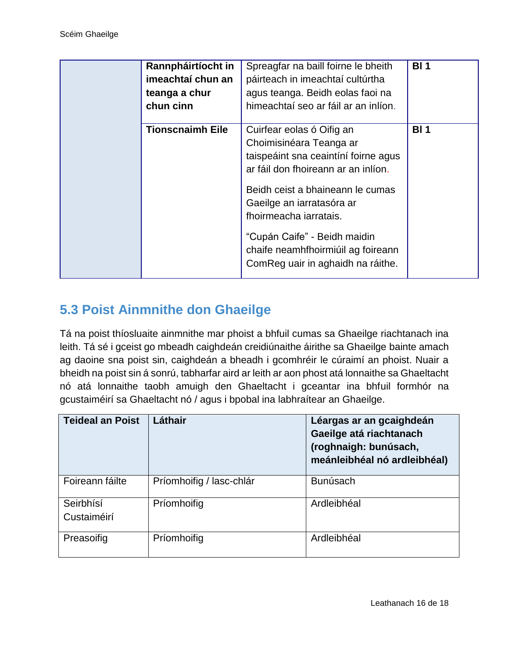| Rannpháirtíocht in<br>imeachtaí chun an<br>teanga a chur<br>chun cinn | Spreagfar na baill foirne le bheith<br>páirteach in imeachtaí cultúrtha<br>agus teanga. Beidh eolas faoi na<br>himeachtaí seo ar fáil ar an inlíon.                                                                                                                                                                                       | <b>BI1</b> |
|-----------------------------------------------------------------------|-------------------------------------------------------------------------------------------------------------------------------------------------------------------------------------------------------------------------------------------------------------------------------------------------------------------------------------------|------------|
| <b>Tionscnaimh Eile</b>                                               | Cuirfear eolas ó Oifig an<br>Choimisinéara Teanga ar<br>taispeáint sna ceaintíní foirne agus<br>ar fáil don fhoireann ar an inlíon.<br>Beidh ceist a bhaineann le cumas<br>Gaeilge an iarratasóra ar<br>fhoirmeacha iarratais.<br>"Cupán Caife" - Beidh maidin<br>chaife neamhfhoirmiúil ag foireann<br>ComReg uair in aghaidh na ráithe. | <b>BI1</b> |

### <span id="page-15-0"></span>**5.3 Poist Ainmnithe don Ghaeilge**

Tá na poist thíosluaite ainmnithe mar phoist a bhfuil cumas sa Ghaeilge riachtanach ina leith. Tá sé i gceist go mbeadh caighdeán creidiúnaithe áirithe sa Ghaeilge bainte amach ag daoine sna poist sin, caighdeán a bheadh i gcomhréir le cúraimí an phoist. Nuair a bheidh na poist sin á sonrú, tabharfar aird ar leith ar aon phost atá lonnaithe sa Ghaeltacht nó atá lonnaithe taobh amuigh den Ghaeltacht i gceantar ina bhfuil formhór na gcustaiméirí sa Ghaeltacht nó / agus i bpobal ina labhraítear an Ghaeilge.

| <b>Teideal an Poist</b>  | Láthair                  | Léargas ar an gcaighdeán<br>Gaeilge atá riachtanach<br>(roghnaigh: bunúsach,<br>meánleibhéal nó ardleibhéal) |
|--------------------------|--------------------------|--------------------------------------------------------------------------------------------------------------|
| Foireann fáilte          | Príomhoifig / lasc-chlár | <b>Bunúsach</b>                                                                                              |
| Seirbhísí<br>Custaiméirí | Príomhoifig              | Ardleibhéal                                                                                                  |
| Preasoifig               | Príomhoifig              | Ardleibhéal                                                                                                  |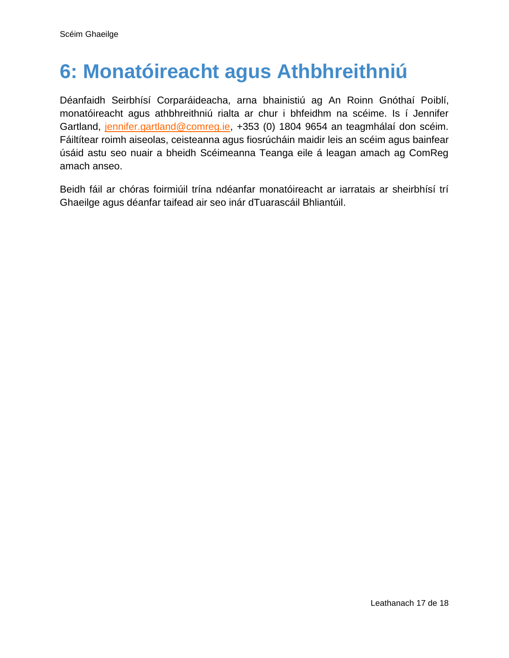### <span id="page-16-0"></span>**6: Monatóireacht agus Athbhreithniú**

Déanfaidh Seirbhísí Corparáideacha, arna bhainistiú ag An Roinn Gnóthaí Poiblí, monatóireacht agus athbhreithniú rialta ar chur i bhfeidhm na scéime. Is í Jennifer Gartland, [jennifer.gartland@comreg.ie,](mailto:jennifer.gartland@comreg.ie) +353 (0) 1804 9654 an teagmhálaí don scéim. Fáiltítear roimh aiseolas, ceisteanna agus fiosrúcháin maidir leis an scéim agus bainfear úsáid astu seo nuair a bheidh Scéimeanna Teanga eile á leagan amach ag ComReg amach anseo.

Beidh fáil ar chóras foirmiúil trína ndéanfar monatóireacht ar iarratais ar sheirbhísí trí Ghaeilge agus déanfar taifead air seo inár dTuarascáil Bhliantúil.